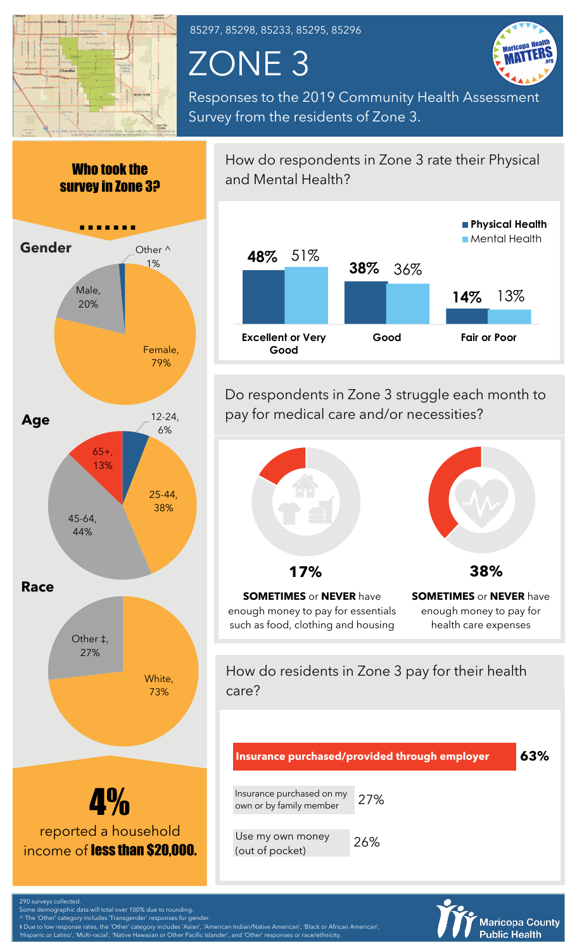

85297, 85298, 85233, 85295, 85296

ZONE 3



Responses to the 2019 Community Health Assessment Survey from the residents of Zone 3.



How do respondents in Zone 3 rate their Physical and Mental Health?



Do respondents in Zone 3 struggle each month to pay for medical care and/or necessities?



enough money to pay for essentials such as food, clothing and housing

enough money to pay for health care expenses

How do residents in Zone 3 pay for their health care?